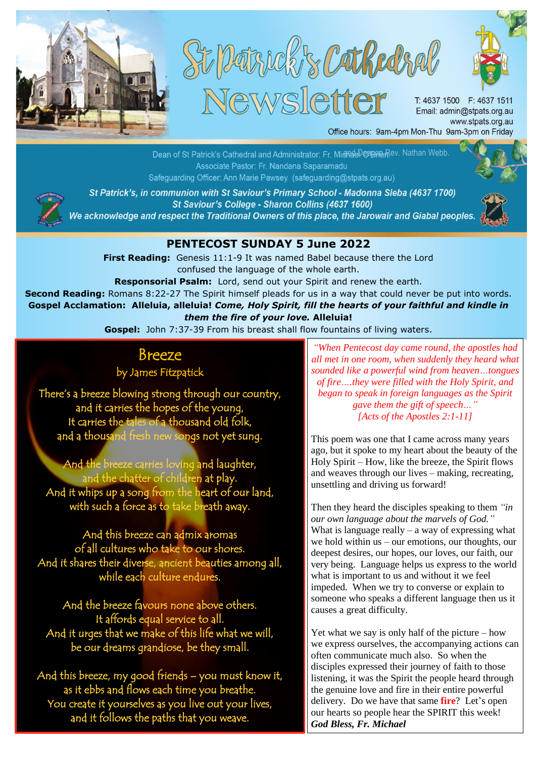

St Parrick & Cathedral **Newsletter** 



T: 4637 1500 F: 4637 1511 Email: admin@stpats.org.au www.stpats.org.au Office hours: 9am-4pm Mon-Thu 9am-3pm on Friday

<u>anaeDeanaeme</u>ev. Nathan Webb. Safeguarding Officer: Ann Marie Pawsey (safeguarding@stpats.org.au)



St Patrick's, in communion with St Saviour's Primary School - Madonna Sleba (4637 1700) St Saviour's College - Sharon Collins (4637 1600)

We acknowledge and respect the Traditional Owners of this place, the Jarowair and Giabal peoples.

## **PENTECOST SUNDAY 5 June 2022**

**First Reading:** Genesis 11:1-9 It was named Babel because there the Lord confused the language of the whole earth.

**Responsorial Psalm:** Lord, send out your Spirit and renew the earth.

**Second Reading:** Romans 8:22-27 The Spirit himself pleads for us in a way that could never be put into words. **Gospel Acclamation: Alleluia, alleluia!** *Come, Holy Spirit, fill the hearts of your faithful and kindle in them the fire of your love.* **Alleluia!**

**Gospel:** John 7:37-39 From his breast shall flow fountains of living waters.

## Breeze

by James Fitzpatick

There's a breeze blowing strong through our country, and it carries the hopes of the young, It carries the tales of a thousand old folk, and a thousand fresh new songs not yet sung.

And the breeze carries loving and laughter, and the chatter of children at play. And it whips up a song from the heart of our land, with such a force as to take breath away.

And this breeze can admix aromas of all cultures who take to our shores. And it shares their diverse, ancient beauties among all, while each culture endures.

And the breeze favours none above others. It affords equal service to all. And it urges that we make of this life what we will, be our dreams grandiose, be they small.

And this breeze, my good friends – you must know it, as it ebbs and flows each time you breathe. You create it yourselves as you live out your lives, and it follows the paths that you weave.

*"When Pentecost day came round, the apostles had all met in one room, when suddenly they heard what sounded like a powerful wind from heaven…tongues of fire….they were filled with the Holy Spirit, and began to speak in foreign languages as the Spirit gave them the gift of speech…" [Acts of the Apostles 2:1-11]*

This poem was one that I came across many years ago, but it spoke to my heart about the beauty of the Holy Spirit – How, like the breeze, the Spirit flows and weaves through our lives – making, recreating, unsettling and driving us forward!

Then they heard the disciples speaking to them *"in our own language about the marvels of God."* What is language really  $-$  a way of expressing what we hold within us – our emotions, our thoughts, our deepest desires, our hopes, our loves, our faith, our very being. Language helps us express to the world what is important to us and without it we feel impeded. When we try to converse or explain to someone who speaks a different language then us it causes a great difficulty.

Yet what we say is only half of the picture – how we express ourselves, the accompanying actions can often communicate much also. So when the disciples expressed their journey of faith to those listening, it was the Spirit the people heard through the genuine love and fire in their entire powerful delivery. Do we have that same **fire**? Let's open our hearts so people hear the SPIRIT this week! *God Bless, Fr. Michael*